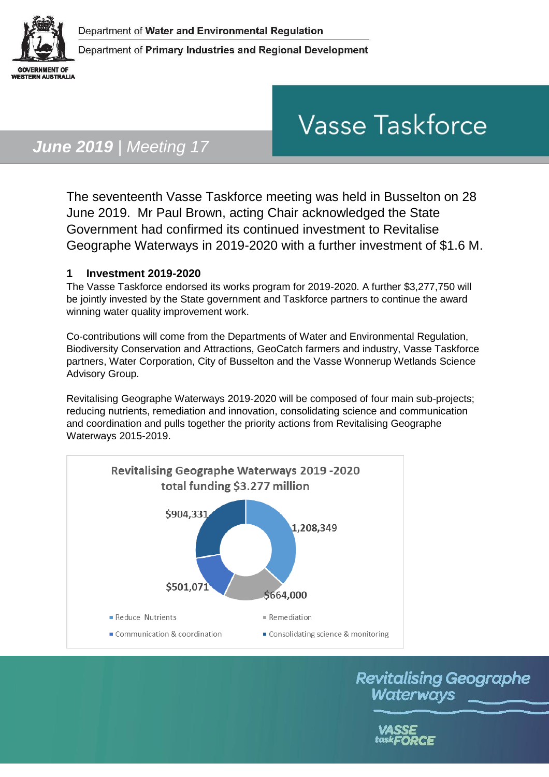

# **Vasse Taskforce**

## *June 2019 | Meeting 17*

The seventeenth Vasse Taskforce meeting was held in Busselton on 28 June 2019. Mr Paul Brown, acting Chair acknowledged the State Government had confirmed its continued investment to Revitalise Geographe Waterways in 2019-2020 with a further investment of \$1.6 M.

#### **1 Investment 2019-2020**

The Vasse Taskforce endorsed its works program for 2019-2020. A further \$3,277,750 will be jointly invested by the State government and Taskforce partners to continue the award winning water quality improvement work.

Co-contributions will come from the Departments of Water and Environmental Regulation, Biodiversity Conservation and Attractions, GeoCatch farmers and industry, Vasse Taskforce partners, Water Corporation, City of Busselton and the Vasse Wonnerup Wetlands Science Advisory Group.

Revitalising Geographe Waterways 2019-2020 will be composed of four main sub-projects; reducing nutrients, remediation and innovation, consolidating science and communication and coordination and pulls together the priority actions from Revitalising Geographe Waterways 2015-2019.



**Revitalising Geographe** Waterways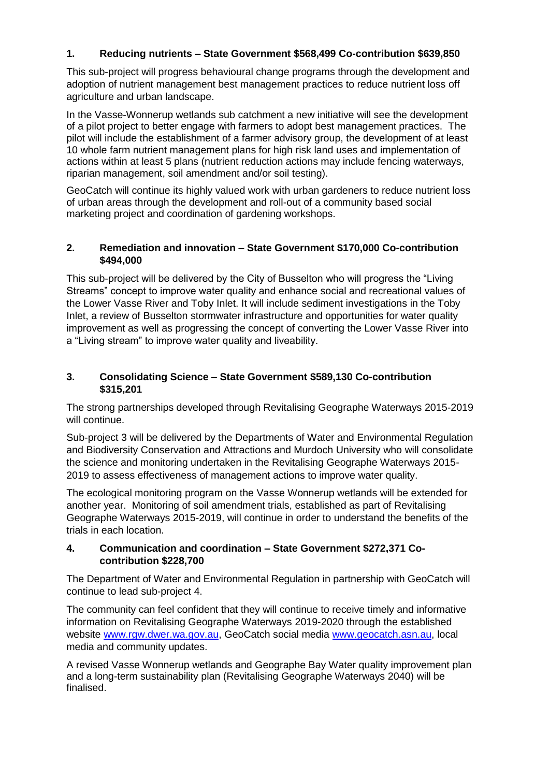#### **1. Reducing nutrients – State Government \$568,499 Co-contribution \$639,850**

This sub-project will progress behavioural change programs through the development and adoption of nutrient management best management practices to reduce nutrient loss off agriculture and urban landscape.

In the Vasse-Wonnerup wetlands sub catchment a new initiative will see the development of a pilot project to better engage with farmers to adopt best management practices. The pilot will include the establishment of a farmer advisory group, the development of at least 10 whole farm nutrient management plans for high risk land uses and implementation of actions within at least 5 plans (nutrient reduction actions may include fencing waterways, riparian management, soil amendment and/or soil testing).

GeoCatch will continue its highly valued work with urban gardeners to reduce nutrient loss of urban areas through the development and roll-out of a community based social marketing project and coordination of gardening workshops.

#### **2. Remediation and innovation – State Government \$170,000 Co-contribution \$494,000**

This sub-project will be delivered by the City of Busselton who will progress the "Living Streams" concept to improve water quality and enhance social and recreational values of the Lower Vasse River and Toby Inlet. It will include sediment investigations in the Toby Inlet, a review of Busselton stormwater infrastructure and opportunities for water quality improvement as well as progressing the concept of converting the Lower Vasse River into a "Living stream" to improve water quality and liveability.

#### **3. Consolidating Science – State Government \$589,130 Co-contribution \$315,201**

The strong partnerships developed through Revitalising Geographe Waterways 2015-2019 will continue.

Sub-project 3 will be delivered by the Departments of Water and Environmental Regulation and Biodiversity Conservation and Attractions and Murdoch University who will consolidate the science and monitoring undertaken in the Revitalising Geographe Waterways 2015- 2019 to assess effectiveness of management actions to improve water quality.

The ecological monitoring program on the Vasse Wonnerup wetlands will be extended for another year. Monitoring of soil amendment trials, established as part of Revitalising Geographe Waterways 2015-2019, will continue in order to understand the benefits of the trials in each location.

#### **4. Communication and coordination – State Government \$272,371 Cocontribution \$228,700**

The Department of Water and Environmental Regulation in partnership with GeoCatch will continue to lead sub-project 4.

The community can feel confident that they will continue to receive timely and informative information on Revitalising Geographe Waterways 2019-2020 through the established website [www.rgw.dwer.wa.gov.au,](http://www.rgw.dwer.wa.gov.au/) GeoCatch social media [www.geocatch.asn.au,](http://www.geocatch.asn.au/) local media and community updates.

A revised Vasse Wonnerup wetlands and Geographe Bay Water quality improvement plan and a long-term sustainability plan (Revitalising Geographe Waterways 2040) will be finalised.